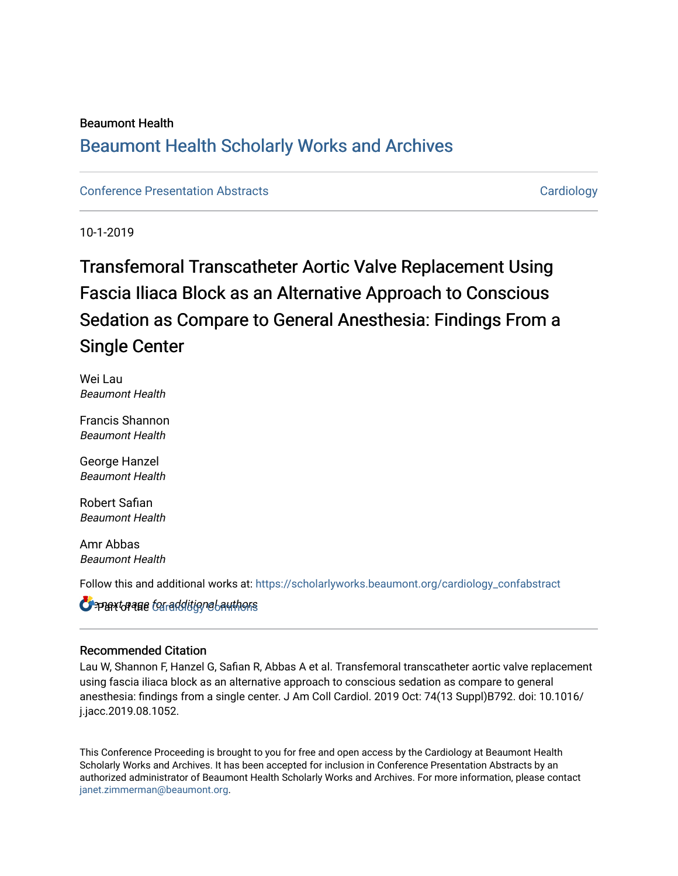### Beaumont Health

## [Beaumont Health Scholarly Works and Archives](https://scholarlyworks.beaumont.org/)

### [Conference Presentation Abstracts](https://scholarlyworks.beaumont.org/cardiology_confabstract) **Cardiology** Cardiology

10-1-2019

# Transfemoral Transcatheter Aortic Valve Replacement Using Fascia Iliaca Block as an Alternative Approach to Conscious Sedation as Compare to General Anesthesia: Findings From a Single Center

Wei Lau Beaumont Health

Francis Shannon Beaumont Health

George Hanzel Beaumont Health

Robert Safian Beaumont Health

Amr Abbas Beaumont Health

Follow this and additional works at: [https://scholarlyworks.beaumont.org/cardiology\\_confabstract](https://scholarlyworks.beaumont.org/cardiology_confabstract?utm_source=scholarlyworks.beaumont.org%2Fcardiology_confabstract%2F13&utm_medium=PDF&utm_campaign=PDFCoverPages)

 $\mathbf{C}$  part of alle to tradditional authors  $\mathbf \Omega$ 

### Recommended Citation

Lau W, Shannon F, Hanzel G, Safian R, Abbas A et al. Transfemoral transcatheter aortic valve replacement using fascia iliaca block as an alternative approach to conscious sedation as compare to general anesthesia: findings from a single center. J Am Coll Cardiol. 2019 Oct: 74(13 Suppl)B792. doi: 10.1016/ j.jacc.2019.08.1052.

This Conference Proceeding is brought to you for free and open access by the Cardiology at Beaumont Health Scholarly Works and Archives. It has been accepted for inclusion in Conference Presentation Abstracts by an authorized administrator of Beaumont Health Scholarly Works and Archives. For more information, please contact [janet.zimmerman@beaumont.org](mailto:janet.zimmerman@beaumont.org).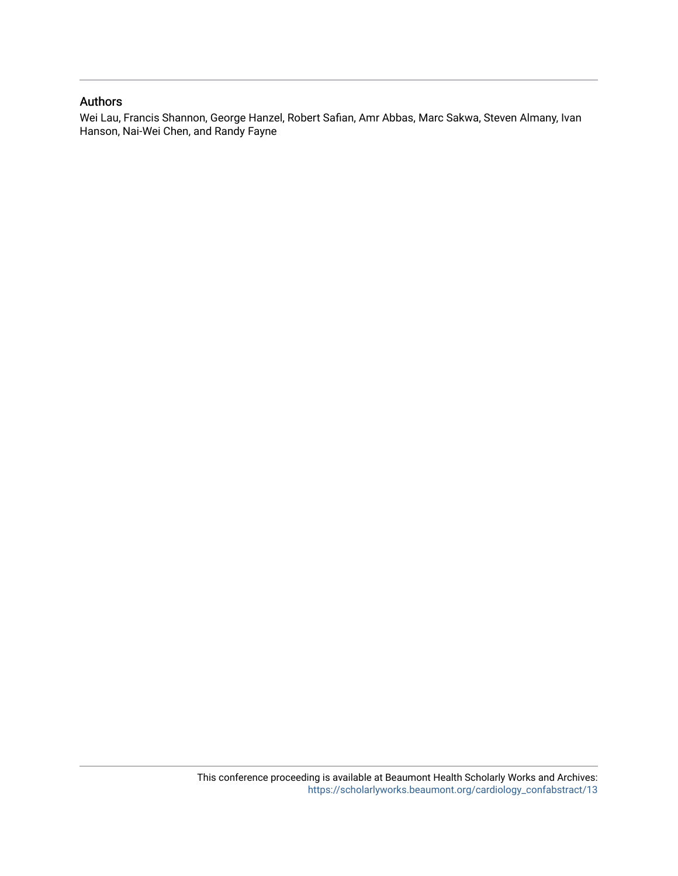### Authors

Wei Lau, Francis Shannon, George Hanzel, Robert Safian, Amr Abbas, Marc Sakwa, Steven Almany, Ivan Hanson, Nai-Wei Chen, and Randy Fayne